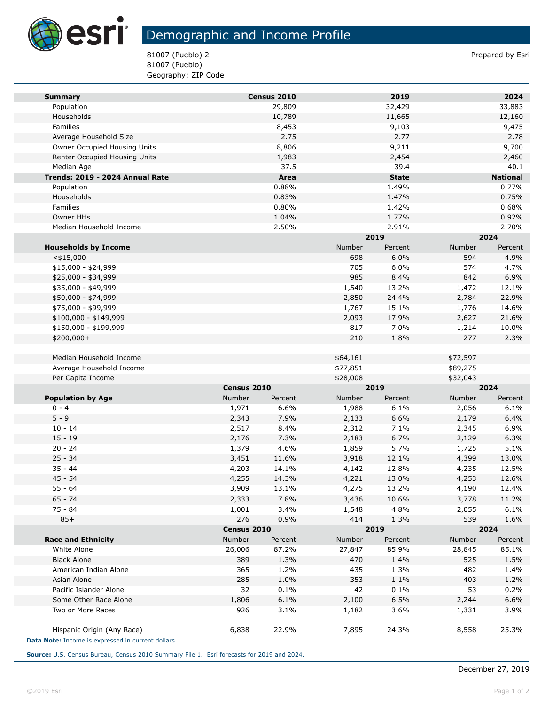

## Demographic and Income Profile

81007 (Pueblo) 2 Prepared by Esri 81007 (Pueblo) Geography: ZIP Code

| <b>Summary</b>                                     |             | Census 2010 |          | 2019         |          | 2024            |  |
|----------------------------------------------------|-------------|-------------|----------|--------------|----------|-----------------|--|
| Population                                         |             | 29,809      |          | 32,429       |          | 33,883          |  |
| Households                                         |             | 10,789      |          | 11,665       |          | 12,160          |  |
| Families                                           |             | 8,453       |          | 9,103        |          | 9,475           |  |
| Average Household Size                             |             | 2.75        |          | 2.77         |          | 2.78            |  |
| Owner Occupied Housing Units                       |             | 8,806       |          | 9,211        |          | 9,700           |  |
| Renter Occupied Housing Units                      |             | 1,983       |          | 2,454        |          | 2,460           |  |
| Median Age                                         |             | 37.5        |          | 39.4         |          | 40.1            |  |
| Trends: 2019 - 2024 Annual Rate                    |             | Area        |          | <b>State</b> |          | <b>National</b> |  |
| Population                                         |             | 0.88%       |          | 1.49%        |          | 0.77%           |  |
| Households                                         |             | 0.83%       |          | 1.47%        |          | 0.75%           |  |
| Families                                           |             | 0.80%       |          | 1.42%        |          | 0.68%           |  |
| Owner HHs                                          |             | 1.04%       |          | 1.77%        |          | 0.92%           |  |
| Median Household Income                            |             | 2.50%       |          | 2.91%        |          | 2.70%           |  |
|                                                    |             |             |          | 2019         |          | 2024            |  |
| <b>Households by Income</b>                        |             |             | Number   | Percent      | Number   | Percent         |  |
| $<$ \$15,000                                       |             |             | 698      | 6.0%         | 594      | 4.9%            |  |
| $$15,000 - $24,999$                                |             |             | 705      | 6.0%         | 574      | 4.7%            |  |
| \$25,000 - \$34,999                                |             |             | 985      | 8.4%         | 842      | 6.9%            |  |
| \$35,000 - \$49,999                                |             |             | 1,540    | 13.2%        | 1,472    | 12.1%           |  |
| \$50,000 - \$74,999                                |             |             | 2,850    | 24.4%        | 2,784    | 22.9%           |  |
| \$75,000 - \$99,999                                |             |             | 1,767    | 15.1%        | 1,776    | 14.6%           |  |
| \$100,000 - \$149,999                              |             |             | 2,093    | 17.9%        | 2,627    | 21.6%           |  |
| \$150,000 - \$199,999                              |             |             | 817      | 7.0%         | 1,214    | 10.0%           |  |
| \$200,000+                                         |             |             | 210      | 1.8%         | 277      | 2.3%            |  |
|                                                    |             |             |          |              |          |                 |  |
| Median Household Income                            |             |             | \$64,161 |              | \$72,597 |                 |  |
| Average Household Income                           |             |             | \$77,851 |              | \$89,275 |                 |  |
| Per Capita Income                                  |             |             | \$28,008 |              | \$32,043 |                 |  |
|                                                    | Census 2010 |             |          | 2019         |          | 2024            |  |
| <b>Population by Age</b>                           | Number      | Percent     | Number   | Percent      | Number   | Percent         |  |
| $0 - 4$                                            | 1,971       | 6.6%        | 1,988    | 6.1%         | 2,056    | 6.1%            |  |
| $5 - 9$                                            | 2,343       | 7.9%        | 2,133    | 6.6%         | 2,179    | 6.4%            |  |
| $10 - 14$                                          | 2,517       | 8.4%        | 2,312    | 7.1%         | 2,345    | 6.9%            |  |
| $15 - 19$                                          | 2,176       | 7.3%        | 2,183    | 6.7%         | 2,129    | 6.3%            |  |
| $20 - 24$                                          | 1,379       | 4.6%        | 1,859    | 5.7%         | 1,725    | 5.1%            |  |
| $25 - 34$                                          | 3,451       | 11.6%       | 3,918    | 12.1%        | 4,399    | 13.0%           |  |
| $35 - 44$                                          | 4,203       | 14.1%       | 4,142    | 12.8%        | 4,235    | 12.5%           |  |
| $45 - 54$                                          | 4,255       | 14.3%       | 4,221    | 13.0%        | 4,253    | 12.6%           |  |
| $55 - 64$                                          | 3,909       | 13.1%       | 4,275    | 13.2%        | 4,190    | 12.4%           |  |
| $65 - 74$                                          | 2,333       | 7.8%        | 3,436    | 10.6%        | 3,778    | 11.2%           |  |
| 75 - 84                                            | 1,001       | 3.4%        | 1,548    | 4.8%         | 2,055    | 6.1%            |  |
| $85+$                                              | 276         | 0.9%        | 414      | 1.3%         | 539      | 1.6%            |  |
|                                                    |             | Census 2010 |          | 2019         |          | 2024            |  |
| <b>Race and Ethnicity</b>                          | Number      | Percent     | Number   | Percent      | Number   | Percent         |  |
| White Alone                                        | 26,006      | 87.2%       | 27,847   | 85.9%        | 28,845   | 85.1%           |  |
| <b>Black Alone</b>                                 | 389         | 1.3%        | 470      | 1.4%         | 525      | 1.5%            |  |
| American Indian Alone                              | 365         | 1.2%        | 435      | 1.3%         | 482      | 1.4%            |  |
| Asian Alone                                        | 285         | 1.0%        | 353      | 1.1%         | 403      | 1.2%            |  |
| Pacific Islander Alone                             | 32          | 0.1%        | 42       | 0.1%         | 53       | 0.2%            |  |
| Some Other Race Alone                              | 1,806       | 6.1%        | 2,100    | 6.5%         | 2,244    | 6.6%            |  |
| Two or More Races                                  | 926         | 3.1%        | 1,182    | 3.6%         | 1,331    | 3.9%            |  |
|                                                    |             |             |          |              |          |                 |  |
| Hispanic Origin (Any Race)                         | 6,838       | 22.9%       | 7,895    | 24.3%        | 8,558    | 25.3%           |  |
| Data Note: Income is expressed in current dollars. |             |             |          |              |          |                 |  |

**Source:** U.S. Census Bureau, Census 2010 Summary File 1. Esri forecasts for 2019 and 2024.